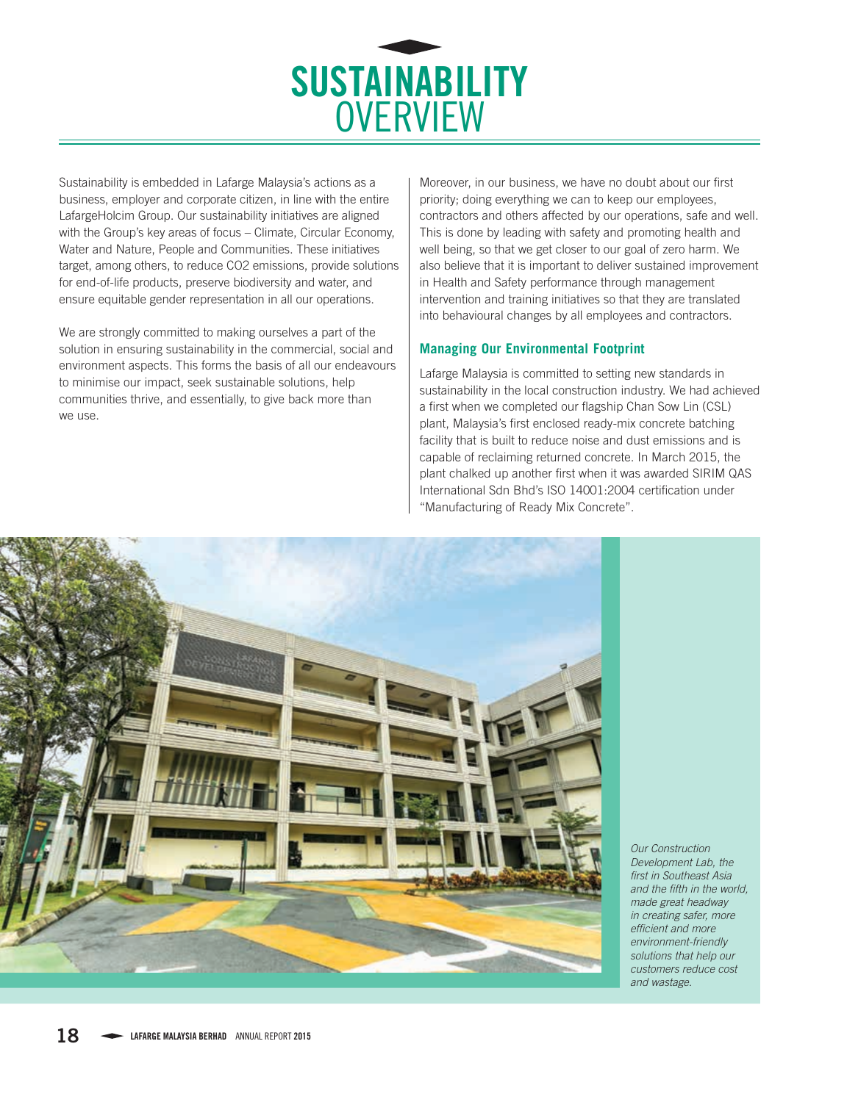

Sustainability is embedded in Lafarge Malaysia's actions as a business, employer and corporate citizen, in line with the entire LafargeHolcim Group. Our sustainability initiatives are aligned with the Group's key areas of focus – Climate, Circular Economy, Water and Nature, People and Communities. These initiatives target, among others, to reduce CO2 emissions, provide solutions for end-of-life products, preserve biodiversity and water, and ensure equitable gender representation in all our operations.

We are strongly committed to making ourselves a part of the solution in ensuring sustainability in the commercial, social and environment aspects. This forms the basis of all our endeavours to minimise our impact, seek sustainable solutions, help communities thrive, and essentially, to give back more than we use.

Moreover, in our business, we have no doubt about our first priority; doing everything we can to keep our employees, contractors and others affected by our operations, safe and well. This is done by leading with safety and promoting health and well being, so that we get closer to our goal of zero harm. We also believe that it is important to deliver sustained improvement in Health and Safety performance through management intervention and training initiatives so that they are translated into behavioural changes by all employees and contractors.

## **Managing Our Environmental Footprint**

Lafarge Malaysia is committed to setting new standards in sustainability in the local construction industry. We had achieved a first when we completed our flagship Chan Sow Lin (CSL) plant, Malaysia's first enclosed ready-mix concrete batching facility that is built to reduce noise and dust emissions and is capable of reclaiming returned concrete. In March 2015, the plant chalked up another first when it was awarded SIRIM QAS International Sdn Bhd's ISO 14001:2004 certification under "Manufacturing of Ready Mix Concrete".



*Our Construction Development Lab, the first in Southeast Asia and the fifth in the world, made great headway in creating safer, more efficient and more environment-friendly solutions that help our customers reduce cost and wastage.*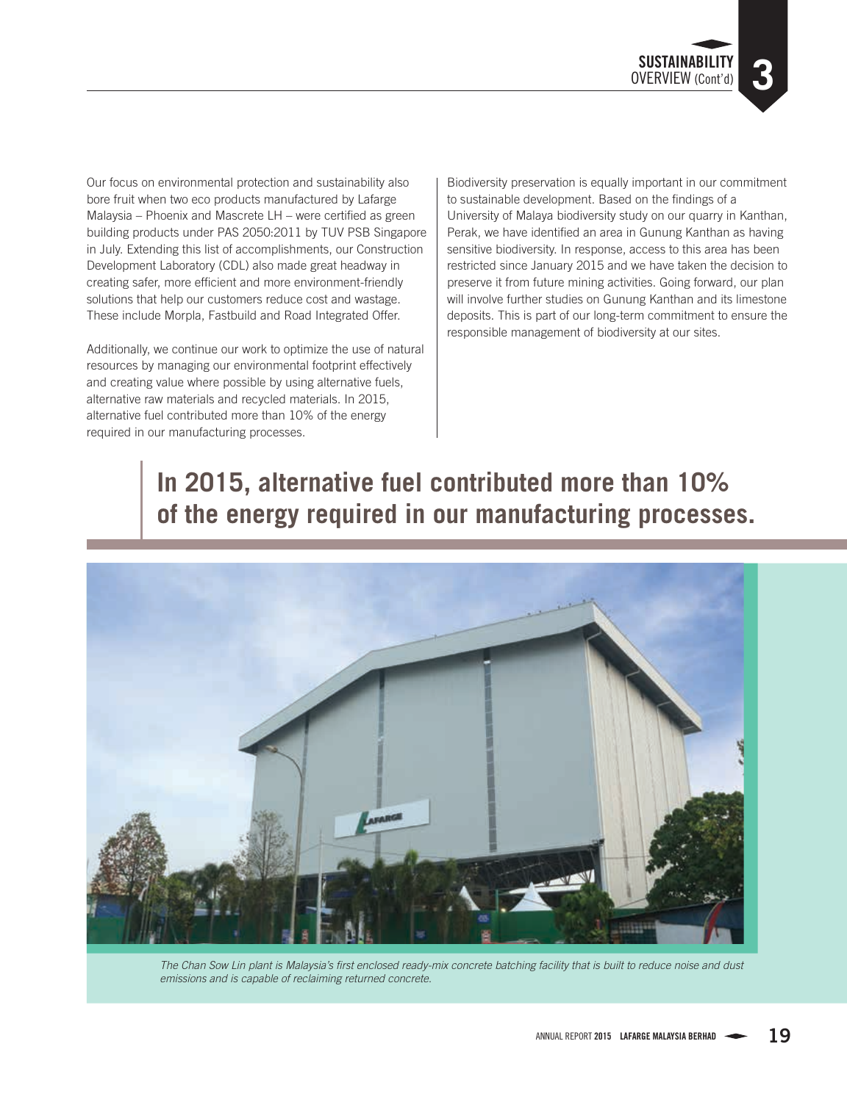Our focus on environmental protection and sustainability also bore fruit when two eco products manufactured by Lafarge Malaysia – Phoenix and Mascrete LH – were certified as green building products under PAS 2050:2011 by TUV PSB Singapore in July. Extending this list of accomplishments, our Construction Development Laboratory (CDL) also made great headway in creating safer, more efficient and more environment-friendly solutions that help our customers reduce cost and wastage. These include Morpla, Fastbuild and Road Integrated Offer.

Additionally, we continue our work to optimize the use of natural resources by managing our environmental footprint effectively and creating value where possible by using alternative fuels, alternative raw materials and recycled materials. In 2015, alternative fuel contributed more than 10% of the energy required in our manufacturing processes.

Biodiversity preservation is equally important in our commitment to sustainable development. Based on the findings of a University of Malaya biodiversity study on our quarry in Kanthan, Perak, we have identified an area in Gunung Kanthan as having sensitive biodiversity. In response, access to this area has been restricted since January 2015 and we have taken the decision to preserve it from future mining activities. Going forward, our plan will involve further studies on Gunung Kanthan and its limestone deposits. This is part of our long-term commitment to ensure the responsible management of biodiversity at our sites.

# **In 2015, alternative fuel contributed more than 10% of the energy required in our manufacturing processes.**



*The Chan Sow Lin plant is Malaysia's first enclosed ready-mix concrete batching facility that is built to reduce noise and dust emissions and is capable of reclaiming returned concrete.*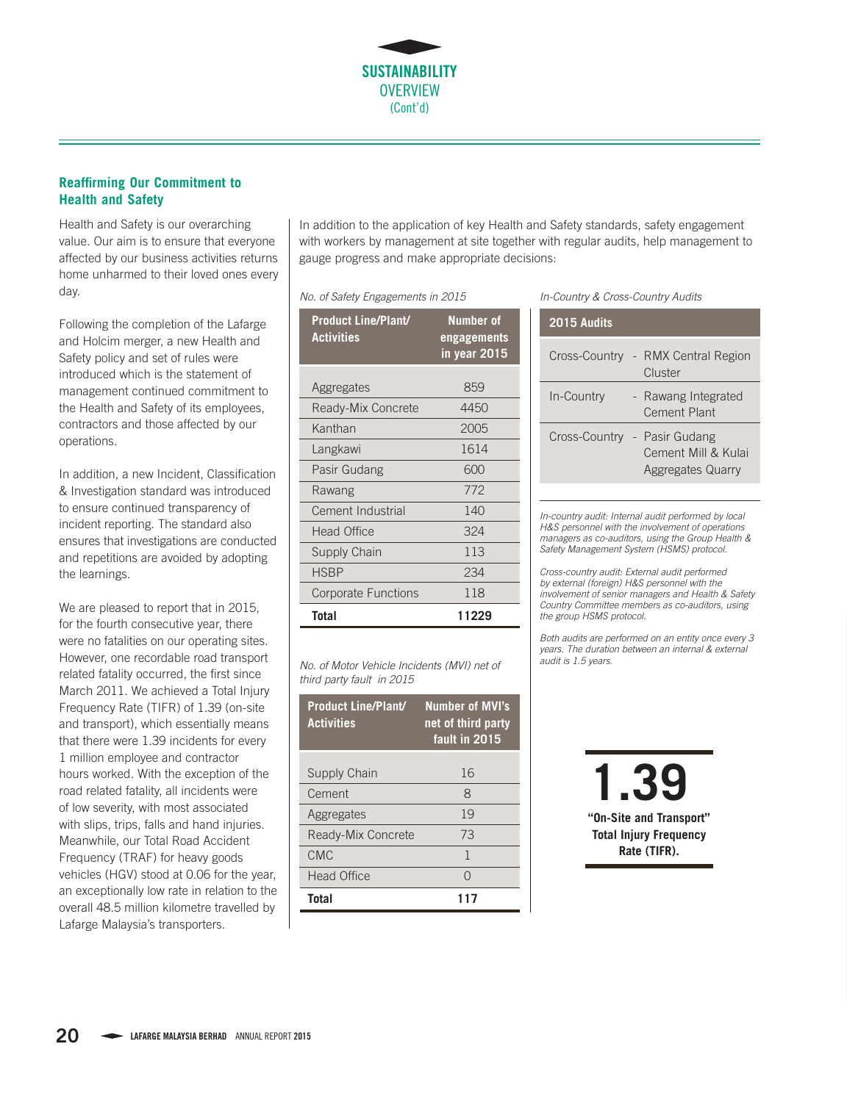

### **Reaffirming Our Commitment to Health and Safety**

Health and Safety is our overarching value. Our aim is to ensure that everyone affected by our business activities returns home unharmed to their loved ones every day.

Following the completion of the Lafarge and Holcim merger, a new Health and Safety policy and set of rules were introduced which is the statement of management continued commitment to the Health and Safety of its employees, contractors and those affected by our operations.

In addition, a new Incident, Classification & Investigation standard was introduced to ensure continued transparency of incident reporting. The standard also ensures that investigations are conducted and repetitions are avoided by adopting the learnings.

We are pleased to report that in 2015, for the fourth consecutive year, there were no fatalities on our operating sites. However, one recordable road transport related fatality occurred, the first since March 2011. We achieved a Total Injury Frequency Rate (TIFR) of 1.39 (on-site and transport), which essentially means that there were 1.39 incidents for every 1 million employee and contractor hours worked. With the exception of the road related fatality, all incidents were of low severity, with most associated with slips, trips, falls and hand injuries. Meanwhile, our Total Road Accident Frequency (TRAF) for heavy goods vehicles (HGV) stood at 0.06 for the year, an exceptionally low rate in relation to the overall 48.5 million kilometre travelled by Lafarge Malaysia's transporters.

In addition to the application of key Health and Safety standards, safety engagement with workers by management at site together with regular audits, help management to gauge progress and make appropriate decisions:

*No. of Safety Engagements in 2015*

| <b>Product Line/Plant/</b><br><b>Activities</b> | <b>Number of</b><br><u>engagements</u><br>in year 2015 |
|-------------------------------------------------|--------------------------------------------------------|
| Aggregates                                      | 859                                                    |
| Ready-Mix Concrete                              | 4450                                                   |
| Kanthan                                         | 2005                                                   |
| Langkawi                                        | 1614                                                   |
| Pasir Gudang                                    | 600                                                    |
| Rawang                                          | 772                                                    |
| Cement Industrial                               | 140                                                    |
| <b>Head Office</b>                              | 324                                                    |
| Supply Chain                                    | 113                                                    |
| <b>HSBP</b>                                     | 234                                                    |
| <b>Corporate Functions</b>                      | 118                                                    |
| Total                                           | 11229                                                  |

*No. of Motor Vehicle Incidents (MVI) net of third party fault in 2015*

| <b>Product Line/Plant/</b><br><b>Activities</b> | <b>Number of MVI's</b><br>net of third party<br>fault in 2015 |
|-------------------------------------------------|---------------------------------------------------------------|
| Supply Chain                                    | 16                                                            |
| Cement                                          | $\mathsf{R}$                                                  |
| Aggregates                                      | 19                                                            |
| Ready-Mix Concrete                              | 73                                                            |
| CMC                                             | 1                                                             |
| <b>Head Office</b>                              | ∩                                                             |
| Total                                           |                                                               |

*In-Country & Cross-Country Audits*

| 2015 Audits |                                                                                 |
|-------------|---------------------------------------------------------------------------------|
|             | Cross-Country - RMX Central Region<br>Cluster                                   |
| In-Country  | - Rawang Integrated<br><b>Cement Plant</b>                                      |
|             | Cross-Country - Pasir Gudang<br>Cement Mill & Kulai<br><b>Aggregates Quarry</b> |

*In-country audit: Internal audit performed by local H&S personnel with the involvement of operations managers as co-auditors, using the Group Health & Safety Management System (HSMS) protocol.*

*Cross-country audit: External audit performed by external (foreign) H&S personnel with the involvement of senior managers and Health & Safety Country Committee members as co-auditors, using the group HSMS protocol.*

*Both audits are performed on an entity once every 3 years. The duration between an internal & external audit is 1.5 years.*

> **1.39 "On-Site and Transport" Total Injury Frequency Rate (TIFR).**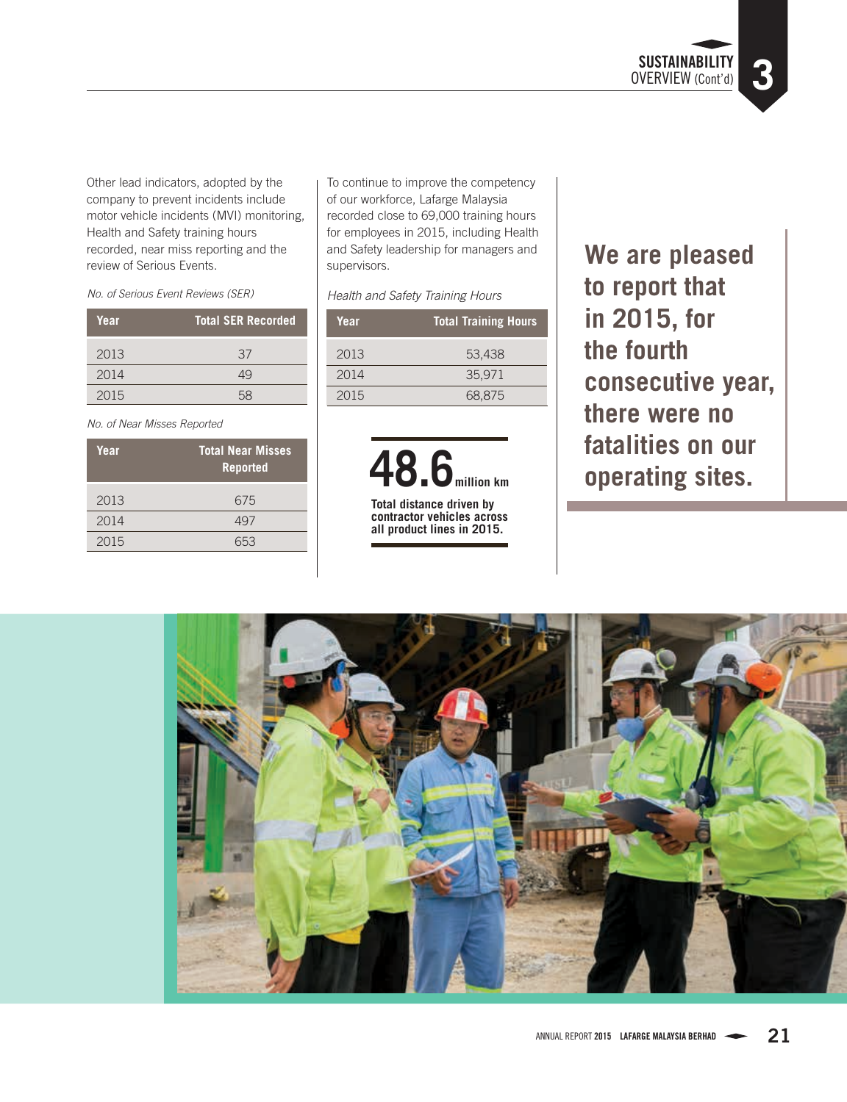**SUSTAINABILITY**  OVERVIEW (Cont'd) **3**

Other lead indicators, adopted by the company to prevent incidents include motor vehicle incidents (MVI) monitoring, Health and Safety training hours recorded, near miss reporting and the review of Serious Events.

*No. of Serious Event Reviews (SER)*

| Year | <b>Total SER Recorded</b> |
|------|---------------------------|
| 2013 | 37                        |
| 2014 | 49                        |
| 2015 | 58                        |

*No. of Near Misses Reported*

| Year | <b>Total Near Misses</b><br><b>Reported</b> |
|------|---------------------------------------------|
| 2013 | 675                                         |
| 2014 | 497                                         |
| 2015 | ミトス                                         |

To continue to improve the competency of our workforce, Lafarge Malaysia recorded close to 69,000 training hours for employees in 2015, including Health and Safety leadership for managers and supervisors.

#### *Health and Safety Training Hours*

| Year | <b>Total Training Hours</b> |
|------|-----------------------------|
| 2013 | 53,438                      |
| 2014 | 35.971                      |
| 2015 | 68,875                      |

**48.6million km**

**Total distance driven by contractor vehicles across all product lines in 2015.**

**We are pleased to report that in 2015, for the fourth consecutive year, there were no fatalities on our operating sites.** 

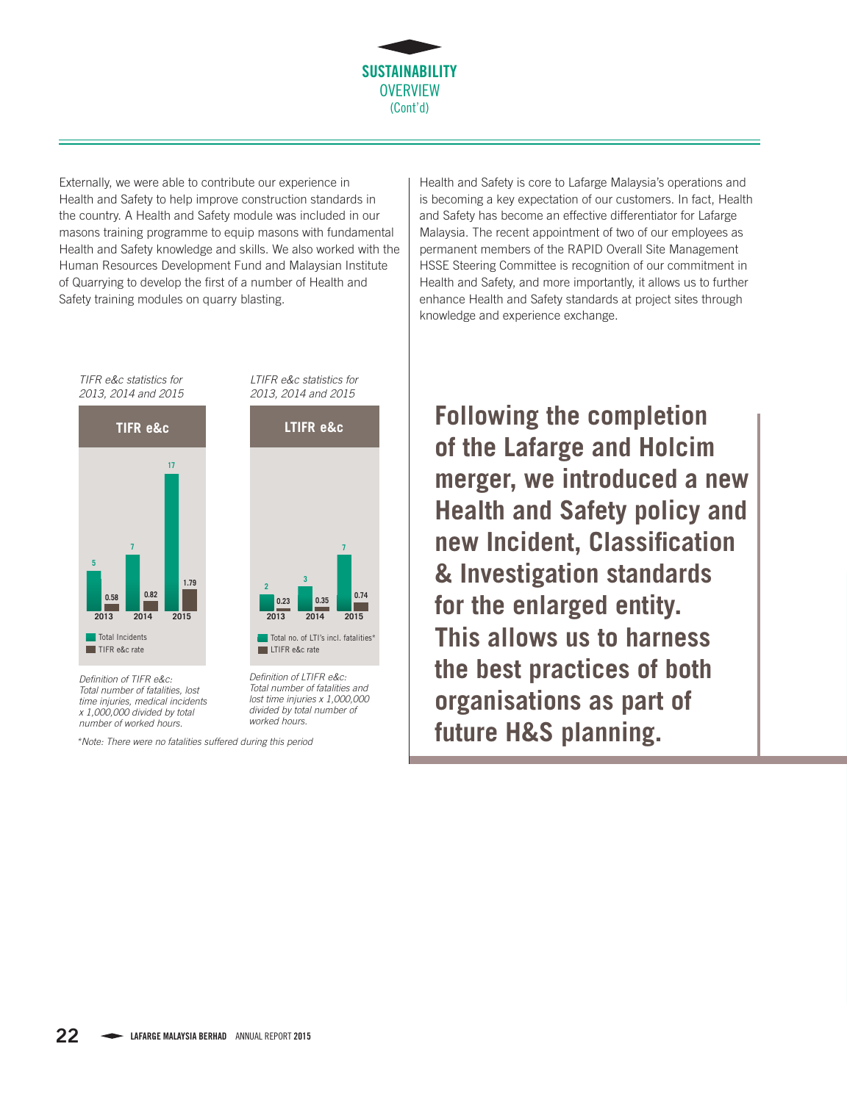

Externally, we were able to contribute our experience in Health and Safety to help improve construction standards in the country. A Health and Safety module was included in our masons training programme to equip masons with fundamental Health and Safety knowledge and skills. We also worked with the Human Resources Development Fund and Malaysian Institute of Quarrying to develop the first of a number of Health and Safety training modules on quarry blasting.

*2013, 2014 and 2015* **0.58 0.82 1.79 5 7 17 2013 2014 2015 TIFR e&c** Total Incidents TIFR e&c rate

*TIFR e&c statistics for* 

*Definition of TIFR e&c: Total number of fatalities, lost time injuries, medical incidents x 1,000,000 divided by total number of worked hours.*

*\*Note: There were no fatalities suffered during this period*

*Definition of LTIFR e&c: Total number of fatalities and lost time injuries x 1,000,000 divided by total number of* 

**2013 2014 2015 0.23 0.35 0.74**

Total no. of LTI's incl. fatalities<sup>\*</sup>

**<sup>2</sup> <sup>3</sup>**

**LTIFR** e&c rate

*LTIFR e&c statistics for 2013, 2014 and 2015*

**LTIFR e&c**

**7**

*worked hours.*

Health and Safety is core to Lafarge Malaysia's operations and is becoming a key expectation of our customers. In fact, Health and Safety has become an effective differentiator for Lafarge Malaysia. The recent appointment of two of our employees as permanent members of the RAPID Overall Site Management HSSE Steering Committee is recognition of our commitment in Health and Safety, and more importantly, it allows us to further enhance Health and Safety standards at project sites through knowledge and experience exchange.

**Following the completion of the Lafarge and Holcim merger, we introduced a new Health and Safety policy and new Incident, Classification & Investigation standards for the enlarged entity. This allows us to harness the best practices of both organisations as part of future H&S planning.**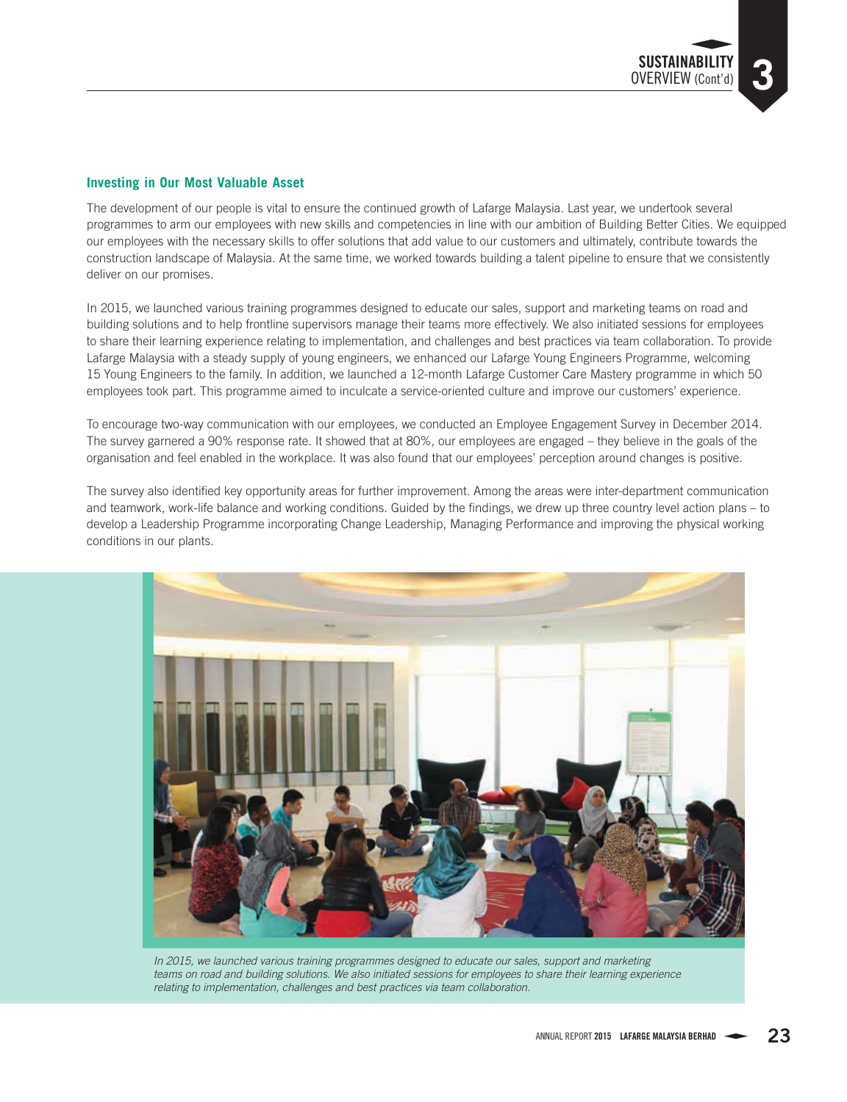

The development of our people is vital to ensure the continued growth of Lafarge Malaysia. Last year, we undertook several programmes to arm our employees with new skills and competencies in line with our ambition of Building Better Cities. We equipped our employees with the necessary skills to offer solutions that add value to our customers and ultimately, contribute towards the construction landscape of Malaysia. At the same time, we worked towards building a talent pipeline to ensure that we consistently deliver on our promises.

In 2015, we launched various training programmes designed to educate our sales, support and marketing teams on road and building solutions and to help frontline supervisors manage their teams more effectively. We also initiated sessions for employees to share their learning experience relating to implementation, and challenges and best practices via team collaboration. To provide Lafarge Malaysia with a steady supply of young engineers, we enhanced our Lafarge Young Engineers Programme, welcoming 15 Young Engineers to the family. In addition, we launched a 12-month Lafarge Customer Care Mastery programme in which 50 employees took part. This programme aimed to inculcate a service-oriented culture and improve our customers' experience.

To encourage two-way communication with our employees, we conducted an Employee Engagement Survey in December 2014. The survey garnered a 90% response rate. It showed that at 80%, our employees are engaged – they believe in the goals of the organisation and feel enabled in the workplace. It was also found that our employees' perception around changes is positive.

The survey also identified key opportunity areas for further improvement. Among the areas were inter-department communication and teamwork, work-life balance and working conditions. Guided by the findings, we drew up three country level action plans – to develop a Leadership Programme incorporating Change Leadership, Managing Performance and improving the physical working conditions in our plants.



*In 2015, we launched various training programmes designed to educate our sales, support and marketing teams on road and building solutions. We also initiated sessions for employees to share their learning experience relating to implementation, challenges and best practices via team collaboration.*